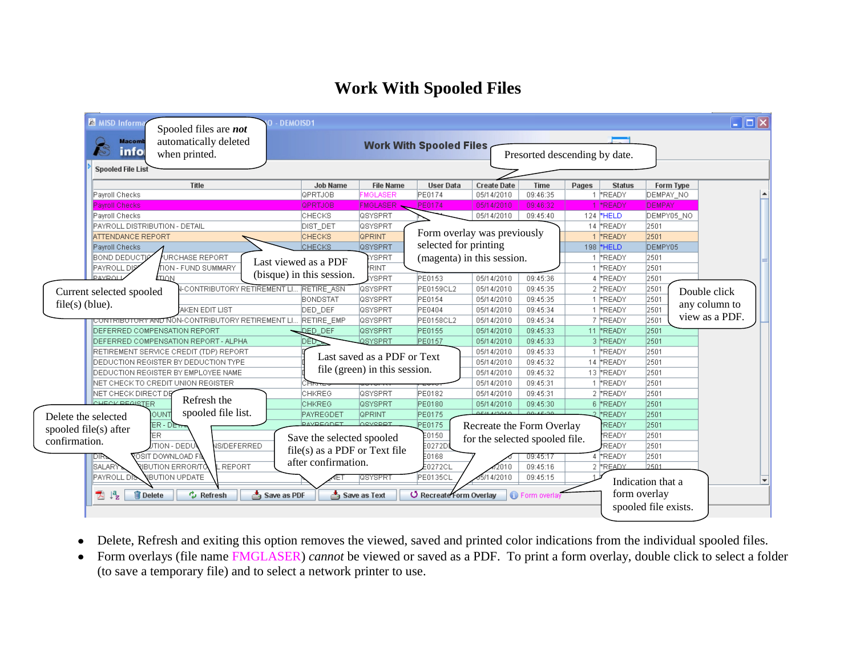## **Work With Spooled Files**

| <b>&amp; MISD Informa</b><br>- DEMOISD1<br>Spooled files are not<br>automatically deleted<br><b>Macomb</b><br>info<br>when printed. |                                                              |                  | <b>Work With Spooled Files</b>                                                 |                                | Presorted descending by date. |       |                 |                      | $\Box$ $\Box$ $\times$ |
|-------------------------------------------------------------------------------------------------------------------------------------|--------------------------------------------------------------|------------------|--------------------------------------------------------------------------------|--------------------------------|-------------------------------|-------|-----------------|----------------------|------------------------|
| <b>Spooled File List</b><br>Title                                                                                                   | <b>Job Name</b>                                              | <b>File Name</b> | <b>User Data</b>                                                               | <b>Create Date</b>             | <b>Time</b>                   | Pages | <b>Status</b>   | Form Type            |                        |
| Payroll Checks                                                                                                                      | QPRTJOB                                                      | <b>MGLASER</b>   | PE0174                                                                         | 05/14/2010                     | 09:46:35                      |       | 1 FREADY        | DEMPAY_NO            |                        |
| <b>Payroll Checks</b>                                                                                                               | <b>QPRTJOB</b>                                               | <b>FMGLASER</b>  | PE0174                                                                         | 05/14/2010                     | 09:46:32                      |       | *READY          | <b>DEMPAY</b>        |                        |
| Payroll Checks                                                                                                                      | <b>СНЕСКS</b>                                                | <b>QSYSPRT</b>   |                                                                                | 05/14/2010                     | 09:45:40                      |       | 124 HELD        | DEMPY05 NO           |                        |
| PAYROLL DISTRIBUTION - DETAIL                                                                                                       | DIST_DET                                                     | <b>QSYSPRT</b>   | 14 FREADY<br>Form overlay was previously<br>selected for printing<br>198 $HED$ |                                |                               |       |                 | 2501                 |                        |
| ATTENDANCE REPORT                                                                                                                   | <b>CHECKS</b>                                                | <b>QPRINT</b>    |                                                                                |                                |                               |       | 1 FREADY        | 2501                 |                        |
| Payroll Checks                                                                                                                      | <b>CHECKS</b>                                                | <b>QSYSPRT</b>   |                                                                                |                                |                               |       | DEMPY05         |                      |                        |
| URCHASE REPORT<br>Ibond deductia                                                                                                    | Last viewed as a PDF                                         | YSPRT            |                                                                                | (magenta) in this session.     |                               |       | 1 FREADY        | 2501                 |                        |
| <b>PAYROLL DISY</b><br><b>TION - FUND SUMMARY</b>                                                                                   |                                                              | <b>RINT</b>      |                                                                                |                                |                               |       | 1 FREADY        | 2501                 |                        |
| <b>DAVDOL</b><br>TION                                                                                                               | (bisque) in this session.                                    | <b>YSPRT</b>     | <b>PE0153</b>                                                                  | 05/14/2010                     | 09:45:36                      |       | 4 FREADY        | 2501                 |                        |
| <b>N-CONTRIBUTORY RETIREMENT LI</b><br>Current selected spooled                                                                     | <b>RETIRE ASN</b>                                            | Tosysprt         | PE0159CL2                                                                      | 05/14/2010                     | 09:45:35                      |       | 2 FREADY        | 2501                 | Double click           |
|                                                                                                                                     | <b>BONDSTAT</b>                                              | <b>QSYSPRT</b>   | PE0154                                                                         | 05/14/2010                     | 09:45:35                      |       | 1 FREADY        | 2501                 |                        |
| $file(s)$ (blue).<br>AKEN EDIT LIST                                                                                                 | DED DEF                                                      | <b>QSYSPRT</b>   | PE0404                                                                         | 05/14/2010                     | 09:45:34                      |       | 1 FREADY        | 2501                 | any column to          |
| <del>CONTRIBOTORY AND N</del> ON-CONTRIBUTORY RETIREMENT LI RETIRE EMP                                                              |                                                              | <b>QSYSPRT</b>   | PE0158CL2                                                                      | 05/14/2010                     | 09:45:34                      |       | 7 FREADY        | 2501                 | view as a PDF.         |
| <b>IDEFERRED COMPENSATION REPORT</b>                                                                                                | <b>DED DEF</b>                                               | <b>QSYSPRT</b>   | PE0155                                                                         | 05/14/2010                     | 09:45:33                      |       | 11 FREADY       | 2501                 |                        |
| DEFERRED COMPENSATION REPORT - ALPHA                                                                                                | DED-                                                         | <b>QSYSPRT</b>   | PE0157                                                                         | 05/14/2010                     | 09:45:33                      |       | 3 FREADY        | 2501                 |                        |
| RETIREMENT SERVICE CREDIT (TDP) REPORT                                                                                              |                                                              |                  |                                                                                | 05/14/2010                     | 09:45:33                      |       | 1 FREADY        | 2501                 |                        |
| DEDUCTION REGISTER BY DEDUCTION TYPE                                                                                                | Last saved as a PDF or Text<br>file (green) in this session. |                  |                                                                                | 05/14/2010                     | 09:45:32                      |       | 14 FREADY       | 2501                 |                        |
| DEDUCTION REGISTER BY EMPLOYEE NAME                                                                                                 |                                                              |                  |                                                                                | 05/14/2010                     | 09:45:32                      |       | 13 *READY       | 2501                 |                        |
| NET CHECK TO CREDIT UNION REGISTER                                                                                                  |                                                              |                  |                                                                                | 05/14/2010                     | 09:45:31                      |       | 1 FREADY        | 2501                 |                        |
| NET CHECK DIRECT DE                                                                                                                 | CHKREG                                                       | <b>QSYSPRT</b>   | PE0182                                                                         | 05/14/2010                     | 09:45:31                      |       | 2 FREADY        | 2501                 |                        |
| Refresh the<br>CHECK PEGISTER                                                                                                       | <b>CHKREG</b>                                                | <b>QSYSPRT</b>   | PE0180                                                                         | 05/14/2010                     | 09:45:30                      |       | 6 FREADY        | 2501                 |                        |
| spooled file list.<br>OUNT<br>Delete the selected                                                                                   | PAYREGDET                                                    | <b>QPRINT</b>    | PE0175                                                                         | 0.614 A12040                   | 0.014530                      |       | 2 MREADY        | 2501                 |                        |
| ER - DETT<br>spooled file(s) after                                                                                                  | <b>PAYREGDET</b>                                             | <b>OSYSPRT</b>   | PE0175                                                                         | Recreate the Form Overlay      |                               |       | <b>READY</b>    | 2501                 |                        |
| ER<br>confirmation.                                                                                                                 | Save the selected spooled                                    |                  | E0150                                                                          | for the selected spooled file. |                               |       | <b>READY</b>    | 2501                 |                        |
| <b>NS/DEFERRED</b><br>JTION - DEDU                                                                                                  | $file(s)$ as a PDF or Text file                              |                  | 50272DI                                                                        |                                |                               |       | READY           | 2501                 |                        |
| <b>POSIT DOWNLOAD FI</b><br>レルク                                                                                                     | after confirmation.                                          |                  | E0168                                                                          |                                | 09:45:17                      |       | 4 <b>*READY</b> | 2501                 |                        |
| SALARY<br>REPORT<br>RIBUTION ERROR/TC                                                                                               |                                                              |                  | E0272CL                                                                        | 12010                          | 09:45:16                      |       | 2 FREADY        | 2501                 |                        |
| <b>VEUTION UPDATE</b><br>PAYROLL DIS                                                                                                |                                                              | QSYSPRI          | PE0135CL                                                                       | 15/14/2010                     | 09:45:15                      |       |                 | Indication that a    |                        |
| 西峰<br><b>m</b> Delete<br>$\sim$ Refresh<br><u>↓</u> Save as PDF                                                                     |                                                              | Save as Text     | O Recreate Form Overlay                                                        |                                | <b>O</b> Form overlay         |       | form overlay    |                      |                        |
|                                                                                                                                     |                                                              |                  |                                                                                |                                |                               |       |                 | spooled file exists. |                        |

- Delete, Refresh and exiting this option removes the viewed, saved and printed color indications from the individual spooled files.
- Form overlays (file name FMGLASER) *cannot* be viewed or saved as a PDF. To print a form overlay, double click to select a folder (to save a temporary file) and to select a network printer to use.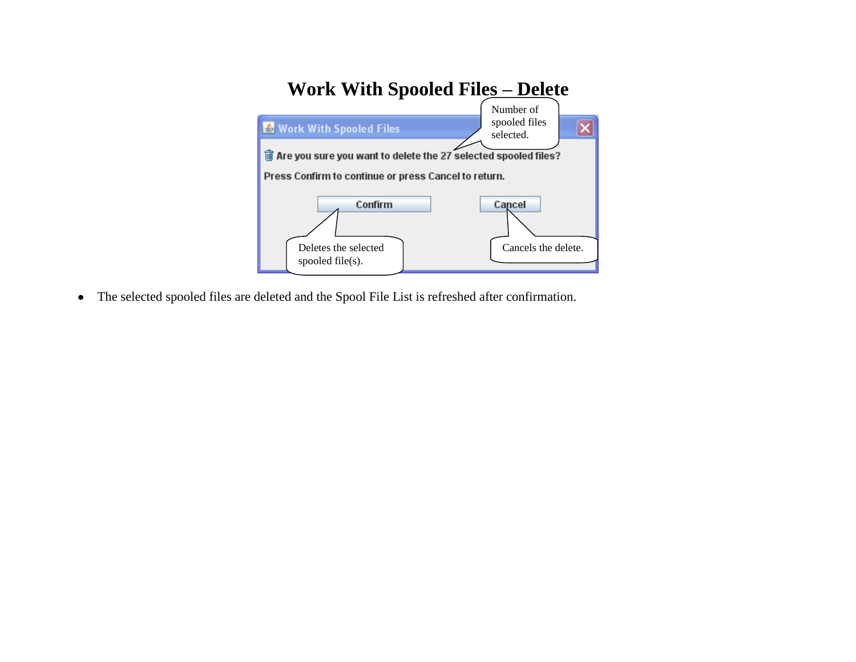

The selected spooled files are deleted and the Spool File List is refreshed after confirmation.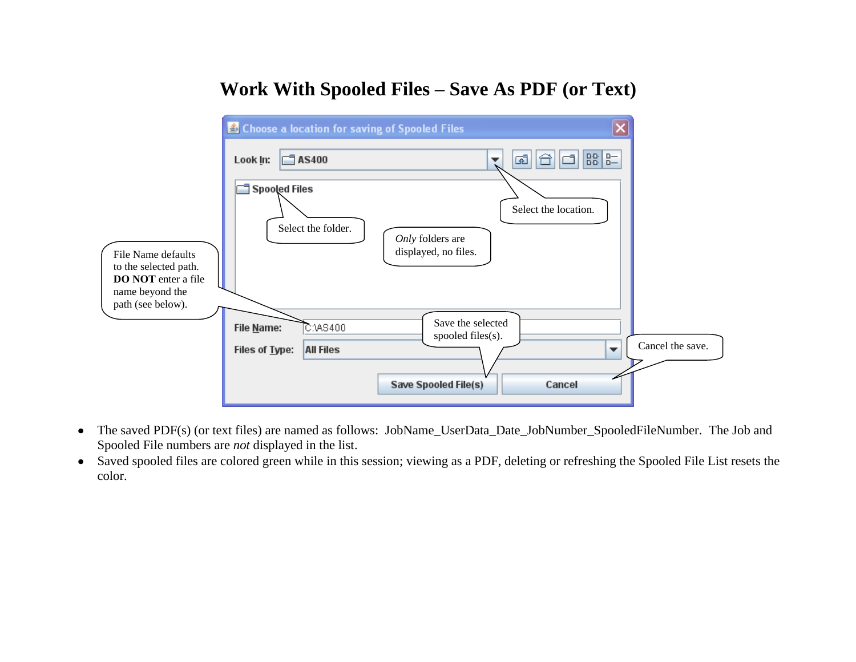## **Work With Spooled Files – Save As PDF (or Text)**



- The saved PDF(s) (or text files) are named as follows: JobName\_UserData\_Date\_JobNumber\_SpooledFileNumber. The Job and Spooled File numbers are *not* displayed in the list.
- Saved spooled files are colored green while in this session; viewing as a PDF, deleting or refreshing the Spooled File List resets the color.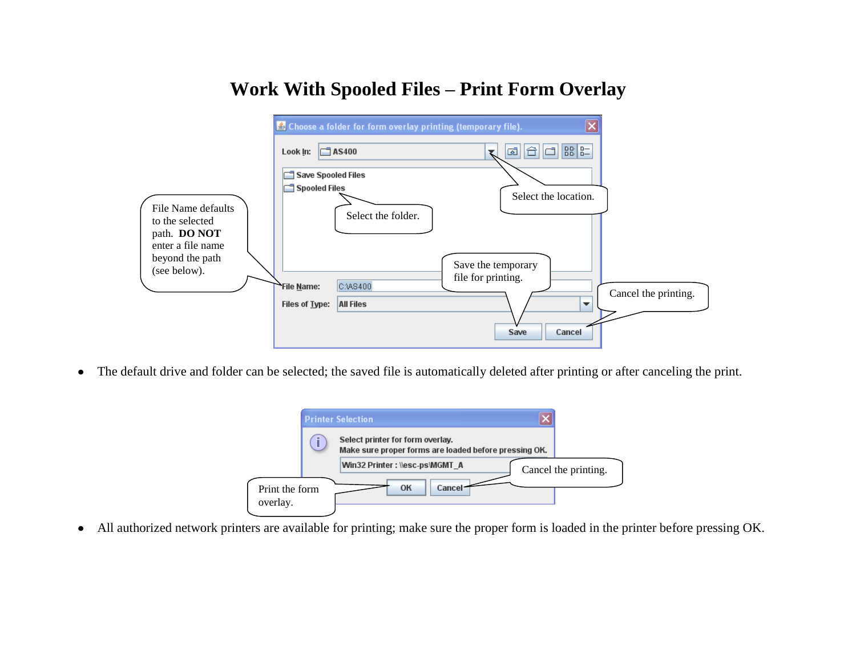## **Work With Spooled Files – Print Form Overlay**

|                                                       | Choose a folder for form overlay printing (temporary file).  |                                                |                      |
|-------------------------------------------------------|--------------------------------------------------------------|------------------------------------------------|----------------------|
|                                                       | $\Box$ AS400<br>Look In:                                     | 88 82<br>61<br>曾                               |                      |
|                                                       | <b>Save Spooled Files</b><br><b>Spooled Files</b>            |                                                |                      |
| File Name defaults<br>to the selected<br>path. DO NOT | Select the folder.                                           | Select the location.                           |                      |
| enter a file name<br>beyond the path<br>(see below).  |                                                              | Save the temporary                             |                      |
|                                                       | C:\AS400<br>File Name:<br>Files of Type:<br><b>All Files</b> | file for printing.<br>$\overline{\phantom{a}}$ | Cancel the printing. |
|                                                       |                                                              | Cancel<br>Save                                 |                      |

The default drive and folder can be selected; the saved file is automatically deleted after printing or after canceling the print.

|                            |   | <b>Printer Selection</b>                                                                  |                      |
|----------------------------|---|-------------------------------------------------------------------------------------------|----------------------|
|                            | i | Select printer for form overlay.<br>Make sure proper forms are loaded before pressing OK. |                      |
|                            |   | Win32 Printer: \\esc-ps\MGMT A                                                            | Cancel the printing. |
| Print the form<br>overlay. |   | OK<br>Cancel                                                                              |                      |

All authorized network printers are available for printing; make sure the proper form is loaded in the printer before pressing OK.